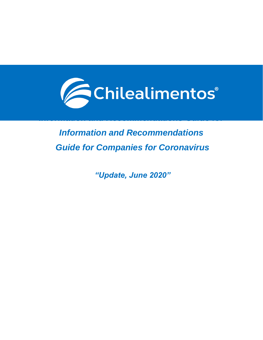

# *Information and Recommendations Guide for Companies for Coronavirus*

*Information and Recommendations Guide for* 

*"Update, June 2020"*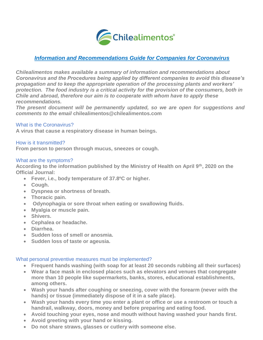

## *Information and Recommendations Guide for Companies for Coronavirus*

*Chilealimentos makes available a summary of information and recommendations about Coronavirus and the Procedures being applied by different companies to avoid this disease's propagation and to keep the appropriate operation of the processing plants and workers' protection. The food industry is a critical activity for the provision of the consumers, both in Chile and abroad, therefore our aim is to cooperate with whom have to apply these recommendations.*

*The present document will be permanently updated, so we are open for suggestions and comments to the email* **[chilealimentos@chilealimentos.com](mailto:chilealimentos@chilealimentos.com)**

#### What is the Coronavirus?

**A virus that cause a respiratory disease in human beings.**

#### How is it transmitted?

**From person to person through mucus, sneezes or cough.**

#### What are the symptoms?

**According to the information published by the Ministry of Health on April 9th, 2020 on the Official Journal:** 

- **Fever, i.e., body temperature of 37.8ºC or higher.**
- **Cough.**
- **Dyspnea or shortness of breath.**
- **Thoracic pain.**
- **Odynophagia or sore throat when eating or swallowing fluids.**
- **Myalgia or muscle pain.**
- **Shivers.**
- **Cephalea or headache.**
- **Diarrhea.**
- **Sudden loss of smell or anosmia.**
- **Sudden loss of taste or ageusia.**

#### What personal preventive measures must be implemented?

- **Frequent hands washing (with soap for at least 20 seconds rubbing all their surfaces)**
- **Wear a face mask in enclosed places such as elevators and venues that congregate more than 10 people like supermarkets, banks, stores, educational establishments, among others.**
- **Wash your hands after coughing or sneezing, cover with the forearm (never with the hands) or tissue (immediately dispose of it in a safe place).**
- **Wash your hands every time you enter a plant or office or use a restroom or touch a handrail, walkway, doors, money and before preparing and eating food.**
- **Avoid touching your eyes, nose and mouth without having washed your hands first.**
- **Avoid greeting with your hand or kissing.**
- **Do not share straws, glasses or cutlery with someone else.**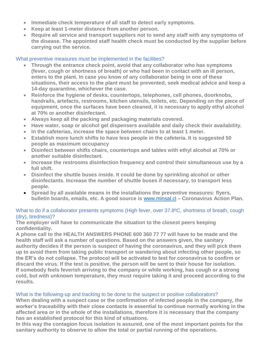- **Immediate check temperature of all staff to detect early symptoms.**
- **Keep at least 1-meter distance from another person.**
- **Require all service and transport suppliers not to send any staff with any symptoms of the disease. The appointed staff health check must be conducted by the supplier before carrying out the service.**

## What preventive measures must be implemented in the facilities?

- **Through the entrance check point, avoid that any collaborator who has symptoms (fever, cough or shortness of breath) or who had been in contact with an ill person, enters to the plant. In case you know of any collaborator being in one of these situations, their access to the plant must be prevented, seek medical advice and keep a 14-day quarantine, whichever the case.**
- **Reinforce the hygiene of desks, countertops, telephones, cell phones, doorknobs, handrails, artefacts, restrooms, kitchen utensils, toilets, etc. Depending on the piece of equipment, once the surfaces have been cleaned, it is necessary to apply ethyl alcohol at 70% or another disinfectant.**
- **Always keep all the packing and packaging materials covered.**
- **Have water, soap or alcohol gel dispensers available and daily check their availability.**
- **In the cafeterias, increase the space between chairs to at least 1 meter.**
- **Establish more lunch shifts to have less people in the cafeteria. It is suggested 50 people as maximum occupancy**
- **Disinfect between shifts chairs, countertops and tables with ethyl alcohol at 70% or another suitable disinfectant.**
- **Increase the restrooms disinfection frequency and control their simultaneous use by a full shift.**
- **Disinfect the shuttle buses inside. It could be done by sprinkling alcohol or other disinfectants. Increase the number of shuttle buses if necessary, to transport less people.**
- **Spread by all available means in the installations the preventive measures: flyers, bulletin boards, emails, etc. A good source is** [www.minsal.cl](http://www.minsal.cl/) **– Coronavirus Action Plan**.

### What to do if a collaborator presents symptoms (High fever, over 37.8°C, shortness of breath, cough (dry), tiredness)?

**The employer will have to communicate the situation to the closest peers keeping confidentiality.** 

**A phone call to the HEALTH ANSWERS PHONE 600 360 77 77 will have to be made and the health staff will ask a number of questions. Based on the answers given, the sanitary authority decides if the person is suspect of having the coronavirus, and they will pick them up to avoid them from taking public transport or wandering about infecting other people, so the ER's do not collapse. The protocol will be activated to test for coronavirus to confirm or discard the virus. If the test is positive, the person will be sent to their house for isolation. If somebody feels feverish arriving to the company or while working, has cough or a strong cold, but with unknown temperature, they must require taking it and proceed according to the results.**

## What is the following-up and tracking to be done to the suspect or positive collaborators?

**When dealing with a suspect case or the confirmation of infected people in the company, the worker's traceability with their close contacts is essential to continue normally working in the affected area or in the whole of the installations, therefore it is necessary that the company has an established protocol for this kind of situations.**

**In this way the contagion focus isolation is assured, one of the most important points for the sanitary authority to observe to allow the total or partial running of the operations.**